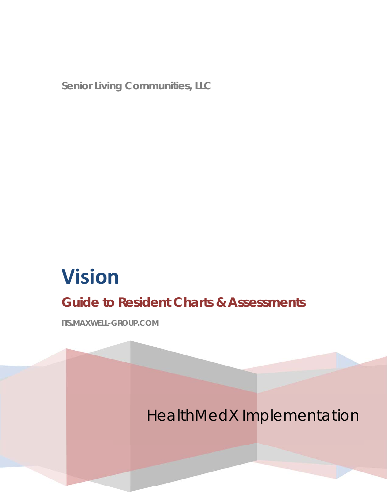**Senior Living Communities, LLC** 

# **Vision**

## **Guide to Resident Charts & Assessments**

**ITS.MAXWELL-GROUP.COM**

HealthMedX Implementation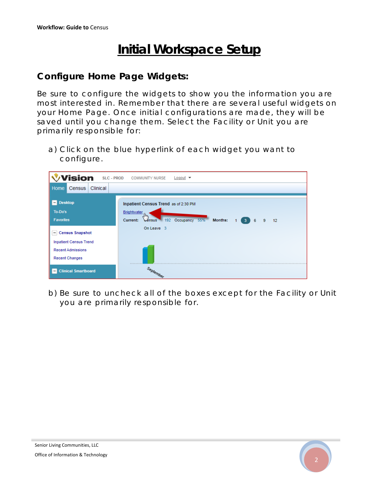## **Initial Workspace Setup**

### **Configure Home Page Widgets:**

Be sure to configure the widgets to show you the information you are most interested in. Remember that there are several useful widgets on your Home Page. Once initial configurations are made, they will be saved until you change them. Select the Facility or Unit you are primarily responsible for:

a) Click on the blue hyperlink of each widget you want to configure.



b) Be sure to uncheck all of the boxes except for the Facility or Unit you are primarily responsible for.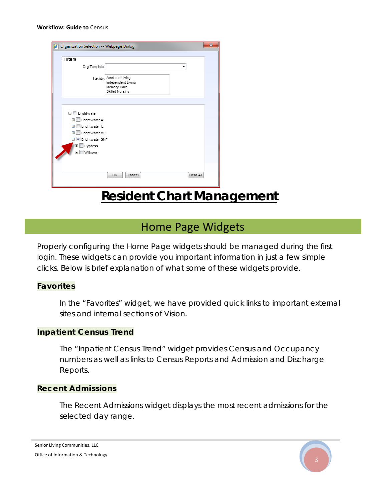#### **Workflow: Guide to** Census

| Organization Selection -- Webpage Dialog                                                                                                                                                                      |                                                                         | × |
|---------------------------------------------------------------------------------------------------------------------------------------------------------------------------------------------------------------|-------------------------------------------------------------------------|---|
| <b>Filters</b><br>Org Template:<br>Facility:                                                                                                                                                                  | Assisted Living<br>Independent Living<br>Memory Care<br>Skilled Nursing |   |
| Brightwater<br>8 N<br>Brightwater AL<br>$\mathbf \Xi$<br>$\blacksquare$<br>Brightwater IL<br>$\blacksquare$<br>Brightwater MC<br>Brightwater SNF<br>Ξ<br>Cypress<br>$\mathbf{F}$<br>Willows<br>$\overline{+}$ |                                                                         |   |
|                                                                                                                                                                                                               | Clear All<br>OK<br>Cancel                                               |   |

## **Resident Chart Management**

### Home Page Widgets

Properly configuring the Home Page widgets should be managed during the first login. These widgets can provide you important information in just a few simple clicks. Below is brief explanation of what some of these widgets provide.

#### **Favorites**

In the "Favorites" widget, we have provided quick links to important external sites and internal sections of Vision.

#### **Inpatient Census Trend**

The "Inpatient Census Trend" widget provides Census and Occupancy numbers as well as links to Census Reports and Admission and Discharge Reports.

#### **Recent Admissions**

The Recent Admissions widget displays the most recent admissions for the selected day range.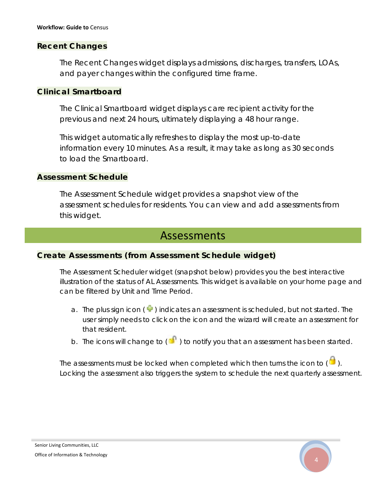#### **Recent Changes**

The Recent Changes widget displays admissions, discharges, transfers, LOAs, and payer changes within the configured time frame.

#### **Clinical Smartboard**

The Clinical Smartboard widget displays care recipient activity for the previous and next 24 hours, ultimately displaying a 48 hour range.

This widget automatically refreshes to display the most up-to-date information every 10 minutes. As a result, it may take as long as 30 seconds to load the Smartboard.

#### **Assessment Schedule**

The Assessment Schedule widget provides a snapshot view of the assessment schedules for residents. You can view and add assessments from this widget.

### Assessments

#### **Create Assessments (from Assessment Schedule widget)**

The Assessment Scheduler widget (snapshot below) provides you the best interactive illustration of the status of AL Assessments. This widget is available on your home page and can be filtered by Unit and Time Period.

- a. The plus sign icon  $(\Box)$  indicates an assessment is scheduled, but not started. The user simply needs to click on the icon and the wizard will create an assessment for that resident.
- b. The icons will change to  $\begin{pmatrix} 1 \\ 1 \end{pmatrix}$  to notify you that an assessment has been started.

The assessments must be locked when completed which then turns the icon to  $\begin{pmatrix} 1 \\ 2 \end{pmatrix}$ . Locking the assessment also triggers the system to schedule the next quarterly assessment.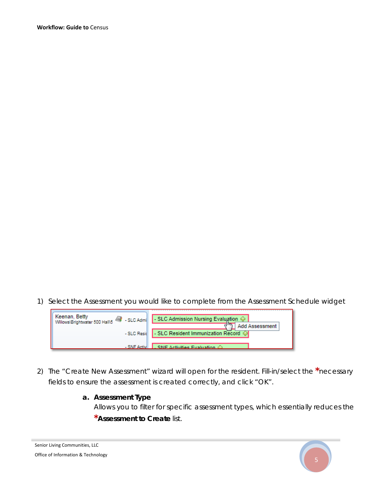1) Select the Assessment you would like to complete from the Assessment Schedule widget



2) The "Create New Assessment" wizard will open for the resident. Fill-in/select the **\***necessary fields to ensure the assessment is created correctly, and click "OK".

#### **a. Assessment Type**

Allows you to filter for specific assessment types, which essentially reduces the **\*Assessment to Create** list.

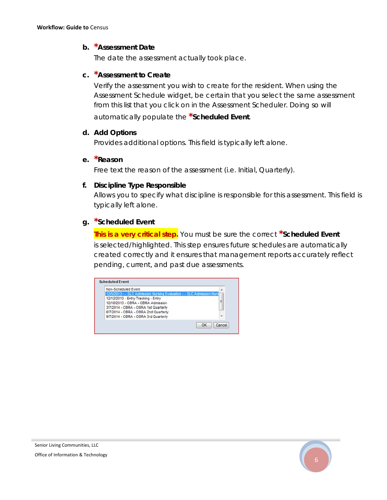#### **b. \*Assessment Date**

The date the assessment actually took place.

#### **c. \*Assessment to Create**

Verify the assessment you wish to create for the resident. When using the Assessment Schedule widget, be certain that you select the same assessment from this list that you click on in the Assessment Scheduler. Doing so will automatically populate the **\*Scheduled Event**.

#### **d. Add Options**

Provides additional options. This field is typically left alone.

#### **e. \*Reason**

Free text the reason of the assessment (i.e. Initial, Quarterly).

#### **f. Discipline Type Responsible**

Allows you to specify what discipline is responsible for this assessment. This field is typically left alone.

#### **g. \*Scheduled Event**

*This is a very critical step.* You must be sure the correct **\*Scheduled Event** is selected/highlighted. This step ensures future schedules are automatically created correctly and it ensures that management reports accurately reflect pending, current, and past due assessments.

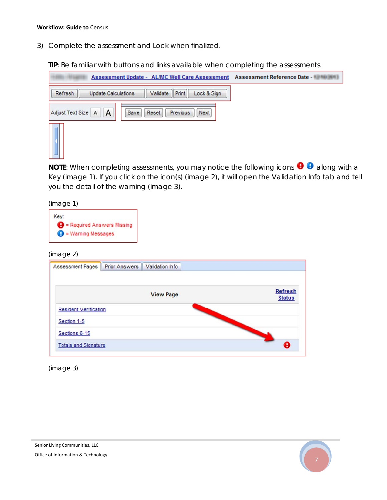#### **Workflow: Guide to** Census

3) Complete the assessment and Lock when finalized.

**TIP**: Be familiar with buttons and links available when completing the assessments.

| <b>Assessment Update - AL/MC Well Care Assessment</b>                  | Assessment Reference Date - WHO WHITE |
|------------------------------------------------------------------------|---------------------------------------|
| Validate Print<br>Refresh<br>Lock & Sign<br><b>Update Calculations</b> |                                       |
| A<br>Adjust Text Size A<br>Save<br>Previous<br>Next<br>Reset           |                                       |
|                                                                        |                                       |

**NOTE:** When completing assessments, you may notice the following icons  $\bigoplus$  along with a Key *(image 1)*. If you click on the icon(s) *(image 2)*, it will open the Validation Info tab and tell you the detail of the warning *(image 3)*.

*(image 1)*

| Key:                           |                                     |
|--------------------------------|-------------------------------------|
|                                | $\Theta$ = Required Answers Missing |
| $\bigoplus$ = Warning Messages |                                     |

*(image 2)*

|                              |                  | Refresh       |
|------------------------------|------------------|---------------|
|                              | <b>View Page</b> | <b>Status</b> |
| <b>Resident Verification</b> |                  |               |
| Section 1-5                  |                  |               |
| Sections 6-15                |                  |               |

*(image 3)*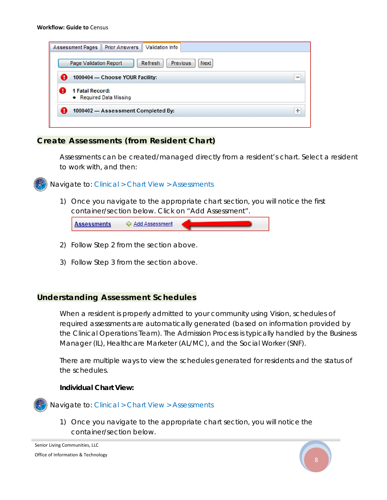#### **Workflow: Guide to** Census

| Previous<br>Refresh<br>Page Validation Report<br>Next |           |
|-------------------------------------------------------|-----------|
| A<br>1000404 - Choose YOUR Facility:                  | $\equiv$  |
| 1 Fatal Record:<br>т<br>• Required Data Missing       |           |
| A<br>1000402 - Assessment Completed By:               | $\ddot{}$ |

#### **Create Assessments (from Resident Chart)**

Assessments can be created/managed directly from a resident's chart. Select a resident to work with, and then:



Navigate to: *Clinical > Chart View > Assessments* 

1) Once you navigate to the appropriate chart section, you will notice the first container/section below. Click on "Add Assessment".

| <b>Add Assessment</b> | <b>Assessments</b> |
|-----------------------|--------------------|
|-----------------------|--------------------|

- 2) Follow Step 2 from the section above.
- 3) Follow Step 3 from the section above.

#### **Understanding Assessment Schedules**

When a resident is properly admitted to your community using Vision, schedules of required assessments are automatically generated (based on information provided by the Clinical Operations Team). The Admission Process is typically handled by the Business Manager (IL), Healthcare Marketer (AL/MC), and the Social Worker (SNF).

There are multiple ways to view the schedules generated for residents and the status of the schedules.

#### **Individual Chart View:**



1) Once you navigate to the appropriate chart section, you will notice the container/section below.

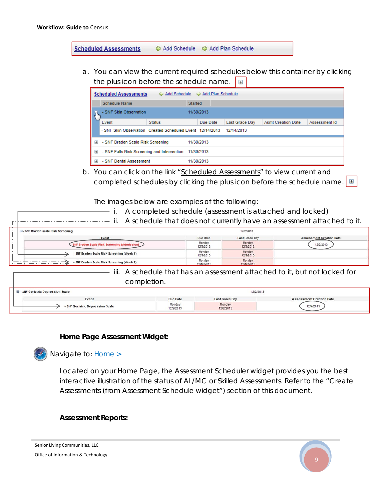**Scheduled Assessments** ☆ Add Schedule ☆ Add Plan Schedule

a. You can view the current required schedules below this container by clicking the plus icon before the schedule name.  $\Box$ 

|                           | <b>Scheduled Assessments</b>                              | ↔ Add Schedule | ← Add Plan Schedule |                       |                           |               |
|---------------------------|-----------------------------------------------------------|----------------|---------------------|-----------------------|---------------------------|---------------|
|                           | <b>Schedule Name</b>                                      |                | <b>Started</b>      |                       |                           |               |
| $\mathbb{J}^{\mathbb{L}}$ | - SNF Skin Observation                                    |                | 11/30/2013          |                       |                           |               |
|                           | Event                                                     | <b>Status</b>  | Due Date            | <b>Last Grace Day</b> | <b>Asmt Creation Date</b> | Assessment Id |
|                           | - SNF Skin Observation Created Scheduled Event 12/14/2013 |                |                     | 12/14/2013            |                           |               |
| $\blacksquare$            | - SNF Braden Scale Risk Screening                         |                | 11/30/2013          |                       |                           |               |
| $\mathbf \mathbf \Xi$     | - SNF Falls Risk Screening and Intervention               |                | 11/30/2013          |                       |                           |               |
| Œ                         | - SNF Dental Assessment                                   |                | 11/30/2013          |                       |                           |               |

b. You can click on the link "Scheduled Assessments" to view current and completed schedules by clicking the plus icon before the schedule name.  $\boxed{\pm}$ 

The images below are examples of the following:

i. A completed schedule (assessment is attached and locked)

| 3 - SNF Braden Scale Risk Screening            |                      | 12/2/2013             |                                 |
|------------------------------------------------|----------------------|-----------------------|---------------------------------|
| Event                                          | Due Date             | <b>Last Grace Day</b> | <b>Assessment Creation Date</b> |
| <b>Braden Scale Risk Screening (Admission)</b> | Monday<br>12/2/2013  | Monday<br>12/2/2013   | 12/2/2013                       |
| - SNF Braden Scale Risk Screening (Week 1)     | Monday<br>12/9/2013  | Monday<br>12/9/2013   |                                 |
| - SNF Braden Scale Risk Screening (Week 2)     | Monday<br>12/16/2013 | Monday<br>12/16/2013  |                                 |

iii. A schedule that has an assessment attached to it, but not locked for completion.

| <b>B</b> - SNF Geriatric Depression Scale |                     | 12/2/2013             |                                 |
|-------------------------------------------|---------------------|-----------------------|---------------------------------|
| Event                                     | <b>Due Date</b>     | <b>Last Grace Day</b> | <b>Assessment Creation Date</b> |
| - SNF Geriatric Depression Scale          | Monday<br>12/2/2013 | Monday<br>12/2/2013   | 12/4/2013                       |

#### **Home Page Assessment Widget:**



Navigate to: *Home >*

Located on your Home Page, the Assessment Scheduler widget provides you the best interactive illustration of the status of AL/MC or Skilled Assessments. Refer to the "Create Assessments (from Assessment Schedule widget") section of this document.

#### **Assessment Reports:**

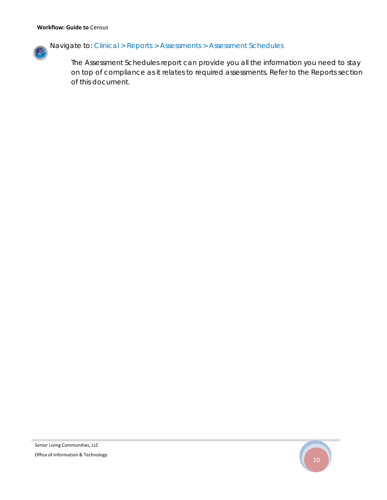

The Assessment Schedules report can provide you all the information you need to stay on top of compliance as it relates to required assessments. Refer to the Reports section of this document.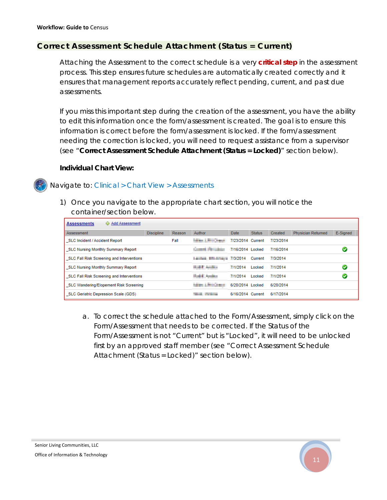#### **Correct Assessment Schedule Attachment (Status = Current)**

Attaching the Assessment to the correct schedule is a very *critical step* in the assessment process. This step ensures future schedules are automatically created correctly and it ensures that management reports accurately reflect pending, current, and past due assessments.

If you miss this important step during the creation of the assessment, you have the ability to edit this information once the form/assessment is created. The goal is to ensure this information is correct before the form/assessment is locked. If the form/assessment needing the correction is locked, you will need to request assistance from a supervisor (see "*Correct Assessment Schedule Attachment (Status = Locked)*" section below).

#### **Individual Chart View:**



1) Once you navigate to the appropriate chart section, you will notice the container/section below.

| ↔ Add Assessment<br><b>Assessments</b>           |                   |        |                                           |                   |               |           |                           |          |
|--------------------------------------------------|-------------------|--------|-------------------------------------------|-------------------|---------------|-----------|---------------------------|----------|
| Assessment                                       | <b>Discipline</b> | Reason | Author                                    | Date              | <b>Status</b> | Created   | <b>Physician Returned</b> | E-Signed |
| <b>SLC Incident / Accident Report</b>            |                   | Fall   | <b><i>Chinese &amp; Miller Street</i></b> | 7/23/2014 Current |               | 7/23/2014 |                           |          |
| <b>SLC Nursing Monthly Summary Report</b>        |                   |        | Connell Person                            | 7/16/2014 Locked  |               | 7/16/2014 |                           | V        |
| SLC Fall Risk Screening and Interventions        |                   |        | <b>Laurence Milledgeway 7/3/2014</b>      |                   | Current       | 7/3/2014  |                           |          |
| <b>SLC Nursing Monthly Summary Report</b>        |                   |        | <b>SALE AND -</b>                         | 7/1/2014          | Locked        | 7/1/2014  |                           | Ø        |
| <b>SLC Fall Risk Screening and Interventions</b> |                   |        | <b><i><u>Deli Andre</u></i></b>           | 7/1/2014          | Locked        | 7/1/2014  |                           |          |
| <b>SLC Wandering/Elopement Risk Screening</b>    |                   |        | <b>NEW LAND DEAT</b>                      | 6/20/2014 Locked  |               | 6/20/2014 |                           |          |
| SLC Geriatric Depression Scale (GDS)             |                   |        | <b>The Color</b>                          | 6/16/2014 Current |               | 6/17/2014 |                           |          |

a. To correct the schedule attached to the Form/Assessment, simply click on the Form/Assessment that needs to be corrected. If the Status of the Form/Assessment is not "Current" but is "Locked", it will need to be unlocked first by an approved staff member (see "Correct Assessment Schedule Attachment (Status = Locked)" section below).

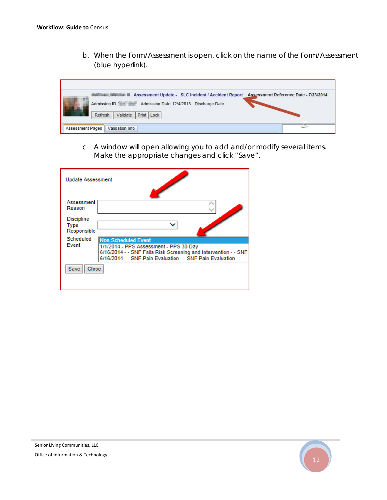b. When the Form/Assessment is open, click on the name of the Form/Assessment (blue hyperlink).

|                         | Assessment Update - SLC Incident / Accident Report      | Assessment Reference Date - 7/23/2014 |
|-------------------------|---------------------------------------------------------|---------------------------------------|
|                         | Admission ID<br>Admission Date 12/4/2013 Discharge Date |                                       |
|                         | Validate<br>Print  <br>Lock<br>Refresh                  |                                       |
| <b>Assessment Pages</b> | <b>Validation Info</b>                                  |                                       |

c. A window will open allowing you to add and/or modify several items. Make the appropriate changes and click "Save".

| <b>Update Assessment</b>                 |                                                                                                                                                                        |
|------------------------------------------|------------------------------------------------------------------------------------------------------------------------------------------------------------------------|
| Assessment<br>Reason                     |                                                                                                                                                                        |
| <b>Discipline</b><br>Type<br>Responsible | ◡                                                                                                                                                                      |
| <b>Scheduled</b>                         | <b>Non-Scheduled Event</b>                                                                                                                                             |
| Event                                    | 1/1/2014 - PPS Assessment - PPS 30 Day<br>6/16/2014 - - SNF Falls Risk Screening and Intervention - - SNF<br>6/16/2014 - - SNF Pain Evaluation - - SNF Pain Evaluation |
| <b>Close</b><br><b>Save</b>              |                                                                                                                                                                        |
|                                          |                                                                                                                                                                        |

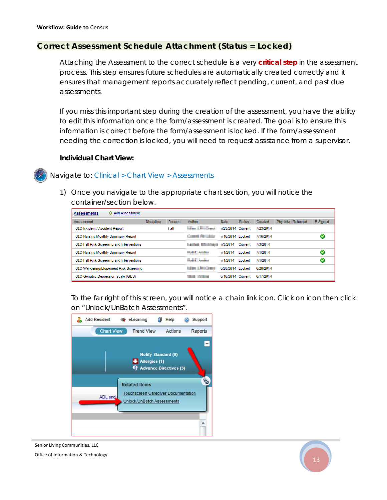#### **Correct Assessment Schedule Attachment (Status = Locked)**

Attaching the Assessment to the correct schedule is a very *critical step* in the assessment process. This step ensures future schedules are automatically created correctly and it ensures that management reports accurately reflect pending, current, and past due assessments.

If you miss this important step during the creation of the assessment, you have the ability to edit this information once the form/assessment is created. The goal is to ensure this information is correct before the form/assessment is locked. If the form/assessment needing the correction is locked, you will need to request assistance from a supervisor.

#### **Individual Chart View:**

#### Navigate to: *Clinical > Chart View > Assessments*

1) Once you navigate to the appropriate chart section, you will notice the container/section below.

| Add Assessment<br><b>Assessments</b>             |                                          |                   |         |             |               |              |                           |          |
|--------------------------------------------------|------------------------------------------|-------------------|---------|-------------|---------------|--------------|---------------------------|----------|
| Assessment                                       | <b>Discipline</b>                        | Reason            | Author  | <b>Date</b> | <b>Status</b> | Created      | <b>Physician Returned</b> | E-Signed |
| <b>SLC Incident / Accident Report</b>            | <b><i><u>SERIES E BEST SHARA</u></i></b> | 7/23/2014 Current |         | 7/23/2014   |               |              |                           |          |
| <b>SLC Nursing Monthly Summary Report</b>        | and Perishin                             | 7/16/2014 Locked  |         | 7/16/2014   |               |              |                           |          |
| SLC Fall Risk Screening and Interventions        | <b>TANK REPORT 12014</b>                 |                   | Current | 7/3/2014    |               |              |                           |          |
| <b>SLC Nursing Monthly Summary Report</b>        | <b>SALE AND I</b>                        | 7/1/2014          | Locked  | 7/1/2014    |               | $\checkmark$ |                           |          |
| <b>SLC Fall Risk Screening and Interventions</b> | <b>Said Andre</b>                        | 7/1/2014          | Locked  | 7/1/2014    |               |              |                           |          |
| SLC Wandering/Elopement Risk Screening           | <b>Manufacturer</b>                      | 6/20/2014 Locked  |         | 6/20/2014   |               |              |                           |          |
| <b>SLC Geriatric Depression Scale (GDS)</b>      | <b>State College</b>                     | 6/16/2014 Current |         | 6/17/2014   |               |              |                           |          |

To the far right of this screen, you will notice a chain link icon. Click on icon then click on "Unlock/UnBatch Assessments".



Senior Living Communities, LLC

Office of Information & Technology

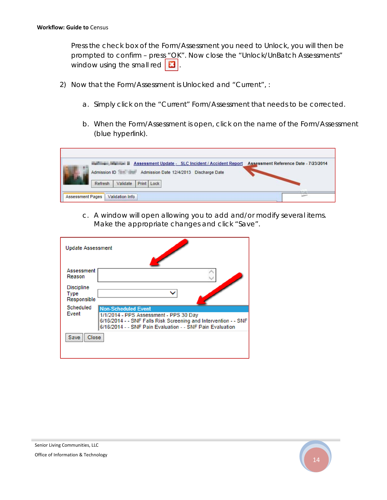Press the check box of the Form/Assessment you need to Unlock, you will then be prompted to confirm - press "OK". Now close the "Unlock/UnBatch Assessments" window using the small red  $\boxed{3}$ .

- 2) Now that the Form/Assessment is Unlocked and "Current", :
	- a. Simply click on the "Current" Form/Assessment that needs to be corrected.
	- b. When the Form/Assessment is open, click on the name of the Form/Assessment (blue hyperlink).

|                         | <b>EXAMPLE ASSESSMENT Update - SLC Incident / Accident Report</b> | Assessment Reference Date - 7/23/2014 |
|-------------------------|-------------------------------------------------------------------|---------------------------------------|
| 冊                       | Admission ID<br>Admission Date 12/4/2013 Discharge Date           |                                       |
|                         | Print   Lock<br>Validate<br>Refresh                               |                                       |
| <b>Assessment Pages</b> | Validation Info                                                   |                                       |

c. A window will open allowing you to add and/or modify several items. Make the appropriate changes and click "Save".

| <b>Update Assessment</b>                 |                                                                                                                                                                                                      |
|------------------------------------------|------------------------------------------------------------------------------------------------------------------------------------------------------------------------------------------------------|
| Assessment<br>Reason                     |                                                                                                                                                                                                      |
| <b>Discipline</b><br>Type<br>Responsible |                                                                                                                                                                                                      |
| <b>Scheduled</b><br>Event                | <b>Non-Scheduled Event</b><br>1/1/2014 - PPS Assessment - PPS 30 Day<br>6/16/2014 - - SNF Falls Risk Screening and Intervention - - SNF<br>6/16/2014 - - SNF Pain Evaluation - - SNF Pain Evaluation |
| <b>Save</b><br><b>Close</b>              |                                                                                                                                                                                                      |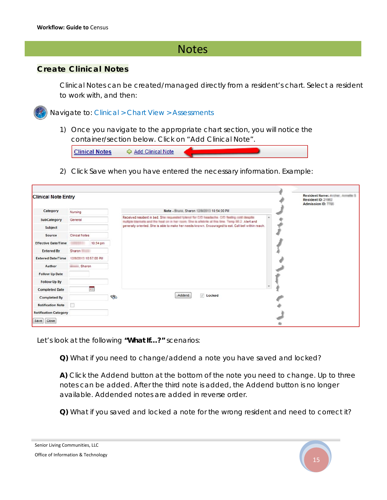## **Notes**

#### **Create Clinical Notes**

Clinical Notes can be created/managed directly from a resident's chart. Select a resident to work with, and then:

Navigate to: *Clinical > Chart View > Assessments* 

1) Once you navigate to the appropriate chart section, you will notice the container/section below. Click on "Add Clinical Note".

|--|

2) Click Save when you have entered the necessary information. Example:

| <b>Clinical Note Entry</b>   |                          |          |   |                                                                                                                                                                                                    | Resident Name: Antiham Annualtiu 1<br>Resident ID: 2<br>Admission ID: 1.1. |
|------------------------------|--------------------------|----------|---|----------------------------------------------------------------------------------------------------------------------------------------------------------------------------------------------------|----------------------------------------------------------------------------|
| Category                     | Nursing                  |          |   | Note - Brune, Sharon NJ MUSEUM 10:54:00 PM                                                                                                                                                         |                                                                            |
| SubCategory                  | General                  |          |   | Received resident in bed. She requested futured for C/C headedness. C/C fleeting cold deadlies<br>multiple blankels and the heat on in her room. She is affecte at this law. Targe 30.3. Alert and |                                                                            |
| Subject                      |                          |          |   | generally oriented. She is able to make her needs known. Encouraged to eat. Call bell within reach.                                                                                                |                                                                            |
| Source                       | <b>Clinical Notes</b>    |          |   |                                                                                                                                                                                                    |                                                                            |
| <b>Effective Date/Time</b>   |                          | 10:54 pm |   |                                                                                                                                                                                                    |                                                                            |
| <b>Entered By</b>            | Sharon<br>÷              |          |   |                                                                                                                                                                                                    |                                                                            |
| <b>Entered Date/Time</b>     | <b>相談の開発 10:57:00 PM</b> |          |   |                                                                                                                                                                                                    |                                                                            |
| Author                       | Sharon                   |          |   |                                                                                                                                                                                                    |                                                                            |
| <b>Follow Up Date</b>        |                          |          |   |                                                                                                                                                                                                    |                                                                            |
| Follow Up By                 |                          |          |   |                                                                                                                                                                                                    |                                                                            |
| <b>Completed Date</b>        |                          | 開        |   |                                                                                                                                                                                                    |                                                                            |
| <b>Completed By</b>          |                          |          | E | Addend<br>Locked                                                                                                                                                                                   |                                                                            |
| <b>Notification Note</b>     | 戸                        |          |   |                                                                                                                                                                                                    |                                                                            |
| <b>Notification Category</b> |                          |          |   |                                                                                                                                                                                                    |                                                                            |
| Save Close                   |                          |          |   |                                                                                                                                                                                                    |                                                                            |

Let's look at the following **"What If…?"** scenarios:

**Q)** What if you need to change/addend a note you have saved and locked?

*A) Click the Addend button at the bottom of the note you need to change. Up to three notes can be added. After the third note is added, the Addend button is no longer available. Addended notes are added in reverse order.* 

**Q)** What if you saved and locked a note for the wrong resident and need to correct it?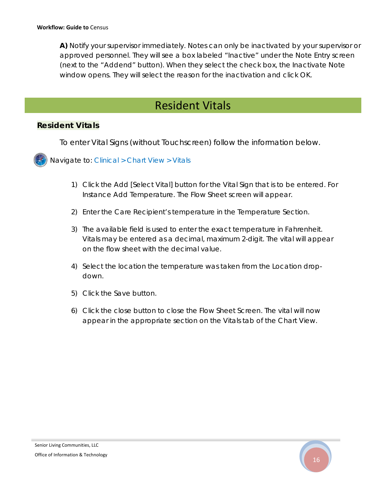*A) Notify your supervisor immediately. Notes can only be inactivated by your supervisor or approved personnel. They will see a box labeled "Inactive" under the Note Entry screen (next to the "Addend" button). When they select the check box, the Inactivate Note window opens. They will select the reason for the inactivation and click OK.* 

## Resident Vitals

#### **Resident Vitals**

To enter Vital Signs (without Touchscreen) follow the information below.

Navigate to: *Clinical > Chart View > Vitals* 

- 1) Click the Add [Select Vital] button for the Vital Sign that is to be entered. For Instance Add Temperature. The Flow Sheet screen will appear.
- 2) Enter the Care Recipient's temperature in the Temperature Section.
- 3) The available field is used to enter the exact temperature in Fahrenheit. Vitals may be entered as a decimal, maximum 2-digit. The vital will appear on the flow sheet with the decimal value.
- 4) Select the location the temperature was taken from the Location dropdown.
- 5) Click the Save button.
- 6) Click the close button to close the Flow Sheet Screen. The vital will now appear in the appropriate section on the Vitals tab of the Chart View.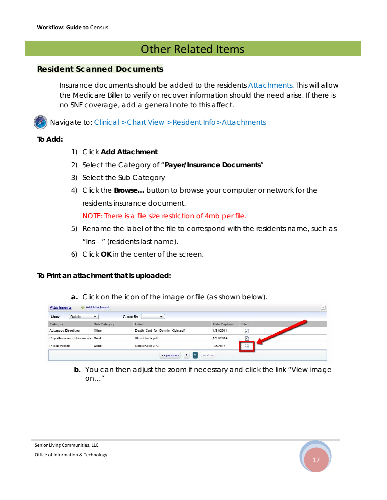## Other Related Items

#### **Resident Scanned Documents**

Insurance documents should be added to the residents *Attachments*. This will allow the Medicare Biller to verify or recover information should the need arise. If there is no SNF coverage, add a general note to this affect.

Navigate to: *Clinical > Chart View > Resident Info> Attachments*

#### **To Add:**

- 1) Click **Add Attachment**
- 2) Select the Category of "**Payer/Insurance Documents**"
- 3) Select the Sub Category
- 4) Click the **Browse…** button to browse your computer or network for the residents insurance document.

NOTE: There is a file size restriction of 4mb per file.

- 5) Rename the label of the file to correspond with the residents name, such as "Ins – " (residents last name).
- 6) Click **OK** in the center of the screen.

#### **To Print an attachment that is uploaded:**

**a.** Click on the icon of the image or file (as shown below).

| <b>Attachments</b>             | Add Attachment             |                                               |               | -----<br>$\overline{\phantom{0}}$ |
|--------------------------------|----------------------------|-----------------------------------------------|---------------|-----------------------------------|
| <b>Details</b><br>Show         | Group By<br>$\blacksquare$ | ▼                                             |               |                                   |
| Category                       | Sub Category               | Label                                         | Date Captured | File                              |
| <b>Advanced Directives</b>     | Other                      | Death_Cert_for_Dennis_Klein.pdf               | 1/31/2014     | PDF                               |
| Payer/Insurance Documents Card |                            | Klein Cards.pdf                               | 1/31/2014     | PDF                               |
| Profile Picture                | Other                      | Dottie Klein JPG                              | 2/3/2014      | JPG                               |
|                                |                            | 1<br>$\vert$ 2<br>$next \gg$<br>$<<$ previous |               |                                   |

**b.** You can then adjust the zoom if necessary and click the link "View image on…"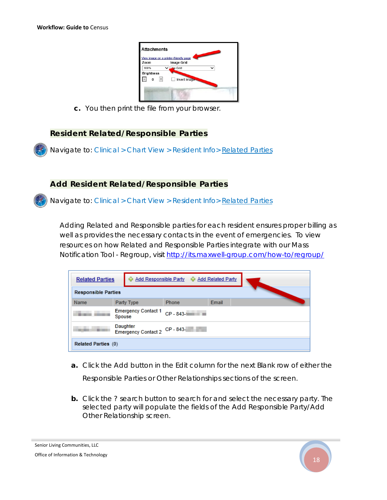| <b>Attachments</b><br>View image on a printer-friendly page |                   |  |
|-------------------------------------------------------------|-------------------|--|
| Zoom                                                        | <b>Image Grid</b> |  |
| 100%                                                        | No Grid           |  |
| <b>Brightness</b><br>$+$<br>0                               | Invert Image      |  |
|                                                             |                   |  |

**c.** You then print the file from your browser.

#### **Resident Related/Responsible Parties**

Navigate to: *Clinical > Chart View > Resident Info> Related Parties* 

#### **Add Resident Related/Responsible Parties**

Navigate to: *Clinical > Chart View > Resident Info> Related Parties*

Adding Related and Responsible parties for each resident ensures proper billing as well as provides the necessary contacts in the event of emergencies. To view resources on how Related and Responsible Parties integrate with our Mass Notification Tool - Regroup, visit http://its.maxwell-group.com/how-to/regroup/

| <b>Related Parties</b>                    |                                      |            | 수 Add Responsible Party 수 Add Related Party |       |  |
|-------------------------------------------|--------------------------------------|------------|---------------------------------------------|-------|--|
| <b>Responsible Parties</b>                |                                      |            |                                             |       |  |
| Name                                      |                                      | Party Type | <b>Phone</b>                                | Email |  |
|                                           | <b>Emergency Contact 1</b><br>Spouse |            | $CP - 843 -$                                |       |  |
| Daughter<br>Emergency Contact 2 CP - 843- |                                      |            |                                             |       |  |
| Related Parties (0)                       |                                      |            |                                             |       |  |

- **a.** Click the Add button in the Edit column for the next Blank row of either the Responsible Parties or Other Relationships sections of the screen.
- **b.** Click the ? search button to search for and select the necessary party. The selected party will populate the fields of the Add Responsible Party/Add Other Relationship screen.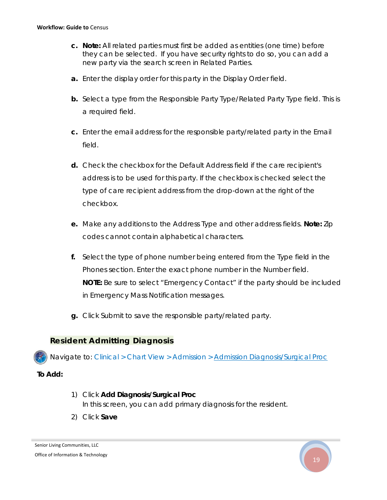- **c. Note:** All related parties must first be added as entities (one time) before they can be selected. If you have security rights to do so, you can add a new party via the search screen in Related Parties.
- **a.** Enter the display order for this party in the Display Order field.
- **b.** Select a type from the Responsible Party Type/Related Party Type field. This is a required field.
- **c.** Enter the email address for the responsible party/related party in the Email field.
- **d.** Check the checkbox for the Default Address field if the care recipient's address is to be used for this party. If the checkbox is checked select the type of care recipient address from the drop-down at the right of the checkbox.
- **e.** Make any additions to the Address Type and other address fields. **Note:** Zip codes cannot contain alphabetical characters.
- **f.** Select the type of phone number being entered from the Type field in the Phones section. Enter the exact phone number in the Number field. **NOTE:** Be sure to select "Emergency Contact" if the party should be included in Emergency Mass Notification messages.
- **g.** Click Submit to save the responsible party/related party.

#### **Resident Admitting Diagnosis**

Navigate to: *Clinical > Chart View > Admission > Admission Diagnosis/Surgical Proc*

#### **To Add:**

- 1) Click **Add Diagnosis/Surgical Proc**  In this screen, you can add primary diagnosis for the resident.
- 2) Click **Save**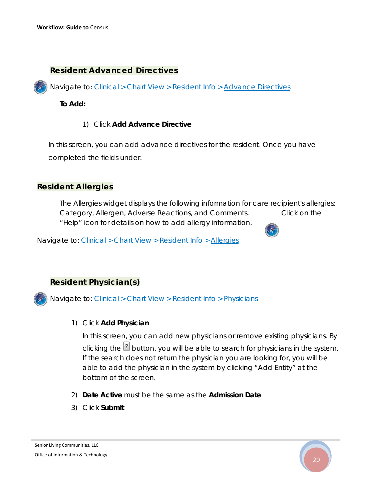#### **Resident Advanced Directives**

Navigate to: *Clinical > Chart View > Resident Info > Advance Directives*

#### **To Add:**

#### 1) Click **Add Advance Directive**

In this screen, you can add advance directives for the resident. Once you have completed the fields under.

#### **Resident Allergies**

The Allergies widget displays the following information for care recipient's allergies: Category, Allergen, Adverse Reactions, and Comments. Click on the "Help" icon for details on how to add allergy information.



Navigate to: *Clinical > Chart View > Resident Info > Allergies*

#### **Resident Physician(s)**

Navigate to: *Clinical > Chart View > Resident Info > Physicians*

1) Click **Add Physician** 

In this screen, you can add new physicians or remove existing physicians. By clicking the  $\mathbb{B}$  button, you will be able to search for physicians in the system. If the search does not return the physician you are looking for, you will be able to add the physician in the system by clicking "Add Entity" at the bottom of the screen.

- 2) **Date Active** must be the same as the **Admission Date**
- 3) Click **Submit**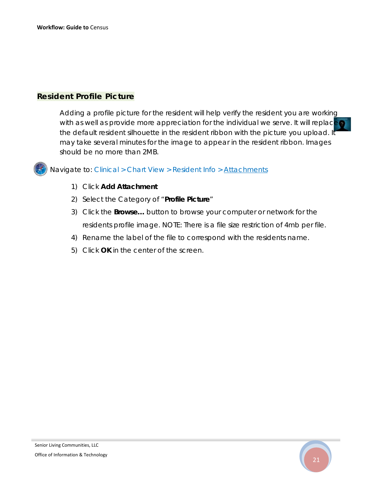#### **Resident Profile Picture**

Adding a profile picture for the resident will help verify the resident you are working with as well as provide more appreciation for the individual we serve. It will replace the default resident silhouette in the resident ribbon with the picture you upload. It may take several minutes for the image to appear in the resident ribbon. Images should be no more than 2MB.

Navigate to: *Clinical > Chart View > Resident Info > Attachments*

- 1) Click **Add Attachment**
- 2) Select the Category of "**Profile Picture**"
- 3) Click the **Browse…** button to browse your computer or network for the residents profile image. NOTE: There is a file size restriction of 4mb per file.
- 4) Rename the label of the file to correspond with the residents name.
- 5) Click **OK** in the center of the screen.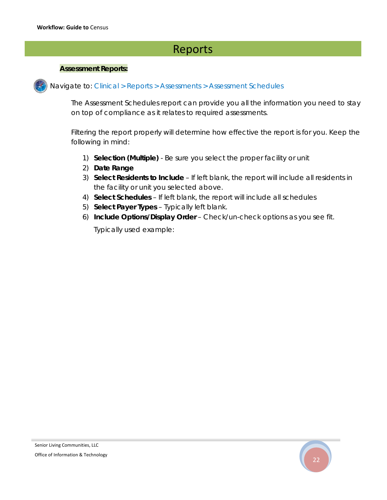## Reports

#### **Assessment Reports:**

Navigate to: *Clinical > Reports > Assessments > Assessment Schedules*

The Assessment Schedules report can provide you all the information you need to stay on top of compliance as it relates to required assessments.

Filtering the report properly will determine how effective the report is for you. Keep the following in mind:

- 1) **Selection (Multiple)** Be sure you select the proper facility or unit
- 2) **Date Range**
- 3) **Select Residents to Include** If left blank, the report will include all residents in the facility or unit you selected above.
- 4) **Select Schedules** If left blank, the report will include all schedules
- 5) **Select Payer Types** Typically left blank.
- 6) **Include Options/Display Order** Check/un-check options as you see fit.

Typically used example: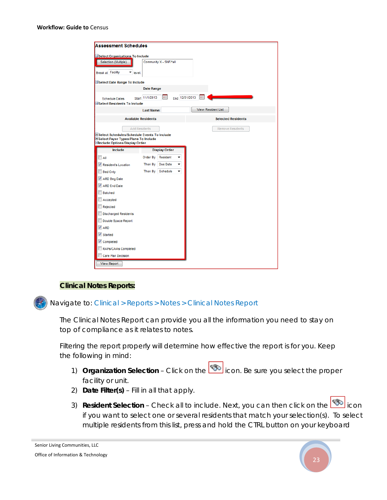#### **Workflow: Guide to** Census

| Select Organizations To Include                      |                            |                        |                           |
|------------------------------------------------------|----------------------------|------------------------|---------------------------|
| Selection (Multiple)                                 |                            | Community X - SNF/*all |                           |
| Break at Facility                                    | level.                     |                        |                           |
| Select Date Range To Include                         |                            |                        |                           |
|                                                      | Date Range                 |                        |                           |
| <b>Schedule Dates</b><br>Select Residents To Include | Start 11/1/2013            | <b>HILL</b>            | 曲<br>End 12/31/2013       |
|                                                      | <b>Last Name:</b>          |                        | <b>View Resident List</b> |
|                                                      | <b>Available Residents</b> |                        | <b>Selected Residents</b> |
|                                                      | <b>Add Residents</b>       |                        | <b>Remove Residents</b>   |
| + Select Schedules/Schedule Events To Include        |                            |                        |                           |
| <b>ESelect Payer Types/Plans To Include</b>          |                            |                        |                           |
| Elnclude Options/Display Order                       |                            |                        |                           |
| Include                                              |                            | <b>Display Order</b>   |                           |
| $\Box$ All                                           | Order By                   | Resident               |                           |
| Resident's Location                                  | Then By                    | Due Date               |                           |
| <b>Bed Only</b>                                      |                            | Then By Schedule       |                           |
|                                                      |                            |                        |                           |
| ARD Beg Date                                         |                            |                        |                           |
| ARD End Date                                         |                            |                        |                           |
| Batched                                              |                            |                        |                           |
| Accepted                                             |                            |                        |                           |
| Rejected                                             |                            |                        |                           |
| Discharged Residents                                 |                            |                        |                           |
| Double Space Report                                  |                            |                        |                           |
| $\nabla$ ARD                                         |                            |                        |                           |
| Started                                              |                            |                        |                           |
| Completed                                            |                            |                        |                           |
| RAPs/CAAs Completed                                  |                            |                        |                           |

#### **Clinical Notes Reports:**

Navigate to: *Clinical > Reports > Notes > Clinical Notes Report*

The Clinical Notes Report can provide you all the information you need to stay on top of compliance as it relates to notes.

Filtering the report properly will determine how effective the report is for you. Keep the following in mind:

- 1) **Organization Selection** Click on the **interpret only icon.** Be sure you select the proper facility or unit.
- 2) **Date Filter(s)** Fill in all that apply.
- 3) **Resident Selection** Check all to include. Next, you can then click on the **icol** icon if you want to select one or several residents that match your selection(s). To select multiple residents from this list, press and hold the CTRL button on your keyboard